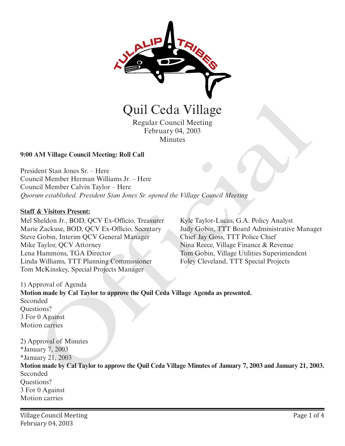

# Minutes

#### **9:00 AM Village Council Meeting: Roll Call**

President Stan Jones Sr. – Here Council Member Herman Williams Jr. – Here Council Member Calvin Taylor – Here *Quorum established. President Stan Jones Sr. opened the Village Council Meeting* 

#### **Staff & Visitors Present:**

Mel Sheldon Jr., BOD, QCV Ex-Officio, Treasurer Marie Zackuse, BOD, QCV Ex-Officio, Secretary Steve Gobin, Interim QCV General Manager Mike Taylor, QCV Attorney Lena Hammons, TGA Director Linda Williams, TTT Planning Commissioner Tom McKinskey, Special Projects Manager

Kyle Taylor-Lucas, G.A. Policy Analyst Judy Gobin, TTT Board Administrative Manager Chief Jay Goss, TTT Police Chief Nina Reece, Village Finance & Revenue Tom Gobin, Village Utilities Superintendent Foley Cleveland, TTT Special Projects

1) Approval of Agenda **Motion made by Cal Taylor to approve the Quil Ceda Village Agenda as presented.**  Seconded Questions? 3 For 0 Against Motion carries

2) Approval of Minutes \*January 7, 2003 \*January 21, 2003 **Motion made by Cal Taylor to approve the Quil Ceda Village Minutes of January 7, 2003 and January 21, 2003.** Seconded Questions? 3 For 0 Against Motion carries Quil Ceda Village<br>
Regular Council Meeting<br>
February 04, 2003<br>
Minutes<br>
Hortary 04, 2003<br>
AM Village Council Meeting: Roll Call<br>
dent Stan Jones Sr. – Here<br>
region Meeting Roll Call<br>
dent Stan Jones Sr. – Here<br>
region dent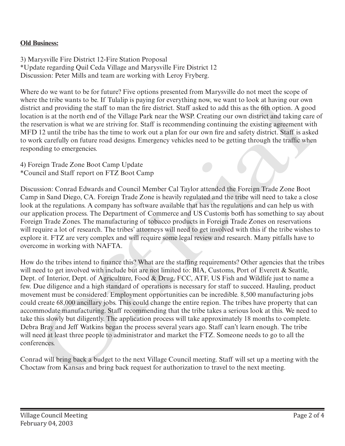## **Old Business:**

3) Marysville Fire District 12-Fire Station Proposal \*Update regarding Quil Ceda Village and Marysville Fire District 12 Discussion: Peter Mills and team are working with Leroy Fryberg.

Where do we want to be for future? Five options presented from Marysville do not meet the scope of where the tribe wants to be. If Tulalip is paying for everything now, we want to look at having our own district and providing the staff to man the fire district. Staff asked to add this as the 6th option. A good location is at the north end of the Village Park near the WSP. Creating our own district and taking care of the reservation is what we are striving for. Staff is recommending continuing the existing agreement with MFD 12 until the tribe has the time to work out a plan for our own fire and safety district. Staff is asked to work carefully on future road designs. Emergency vehicles need to be getting through the traffic when responding to emergencies.

## 4) Foreign Trade Zone Boot Camp Update \*Council and Staff report on FTZ Boot Camp

Discussion: Conrad Edwards and Council Member Cal Taylor attended the Foreign Trade Zone Boot Camp in Sand Diego, CA. Foreign Trade Zone is heavily regulated and the tribe will need to take a close look at the regulations. A company has software available that has the regulations and can help us with our application process. The Department of Commerce and US Customs both has something to say about Foreign Trade Zones. The manufacturing of tobacco products in Foreign Trade Zones on reservations will require a lot of research. The tribes' attorneys will need to get involved with this if the tribe wishes to explore it. FTZ are very complex and will require some legal review and research. Many pitfalls have to overcome in working with NAFTA.

How do the tribes intend to finance this? What are the staffing requirements? Other agencies that the tribes will need to get involved with include but are not limited to: BIA, Customs, Port of Everett & Seattle, Dept. of Interior, Dept. of Agriculture, Food & Drug, FCC, ATF, US Fish and Wildlife just to name a few. Due diligence and a high standard of operations is necessary for staff to succeed. Hauling, product movement must be considered. Employment opportunities can be incredible. 8,500 manufacturing jobs could create 68,000 ancillary jobs. This could change the entire region. The tribes have property that can accommodate manufacturing. Staff recommending that the tribe takes a serious look at this. We need to take this slowly but diligently. The application process will take approximately 18 months to complete. Debra Bray and Jeff Watkins began the process several years ago. Staff can't learn enough. The tribe will need at least three people to administrator and market the FTZ. Someone needs to go to all the conferences. Where the tries wants to as If the native is paying the reveryting now, we want to look at navid points at the next means of the Village Park near the WSP. Creating our once in avoid colocation is what is a the solution th

Conrad will bring back a budget to the next Village Council meeting. Staff will set up a meeting with the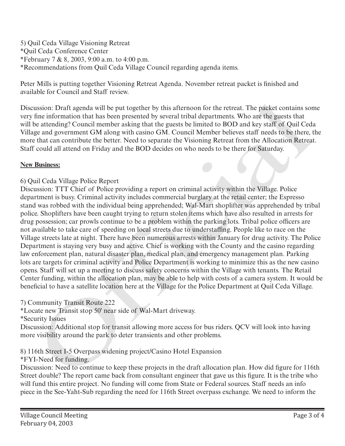5) Quil Ceda Village Visioning Retreat \*Quil Ceda Conference Center \*February 7 & 8, 2003, 9:00 a.m. to 4:00 p.m. \*Recommendations from Quil Ceda Village Council regarding agenda items.

Peter Mills is putting together Visioning Retreat Agenda. November retreat packet is finished and available for Council and Staff review.

Discussion: Draft agenda will be put together by this afternoon for the retreat. The packet contains some very fine information that has been presented by several tribal departments. Who are the guests that will be attending? Council member asking that the guests be limited to BOD and key staff of Quil Ceda Village and government GM along with casino GM. Council Member believes staff needs to be there, the more that can contribute the better. Need to separate the Visioning Retreat from the Allocation Retreat. Staff could all attend on Friday and the BOD decides on who needs to be there for Saturday.

## **New Business:**

# 6) Quil Ceda Village Police Report

Discussion: TTT Chief of Police providing a report on criminal activity within the Village. Police department is busy. Criminal activity includes commercial burglary at the retail center; the Espresso stand was robbed with the individual being apprehended; Wal-Mart shoplifter was apprehended by tribal police. Shoplifters have been caught trying to return stolen items which have also resulted in arrests for drug possession; car prowls continue to be a problem within the parking lots. Tribal police officers are not available to take care of speeding on local streets due to understaffing. People like to race on the Village streets late at night. There have been numerous arrests within January for drug activity. The Police Department is staying very busy and active. Chief is working with the County and the casino regarding law enforcement plan, natural disaster plan, medical plan, and emergency management plan. Parking lots are targets for criminal activity and Police Department is working to minimize this as the new casino opens. Staff will set up a meeting to discuss safety concerns within the Village with tenants. The Retail Center funding, within the allocation plan, may be able to help with costs of a camera system. It would be beneficial to have a satellite location here at the Village for the Police Department at Quil Ceda Village. ussion: Draft agenda will be put together by this afternoon for the retreat. The packet contains so<br>the inficination that has been presented by several trial departments. Who are the guests that<br>the packet has been present

# 7) Community Transit Route 222

\*Locate new Transit stop 50' near side of Wal-Mart driveway.

\*Security Issues

Discussion: Additional stop for transit allowing more access for bus riders. QCV will look into having more visibility around the park to deter transients and other problems.

8) 116th Street I-5 Overpass widening project/Casino Hotel Expansion

\*FYI-Need for funding.

Discussion: Need to continue to keep these projects in the draft allocation plan. How did figure for 116th Street double? The report came back from consultant engineer that gave us this figure. It is the tribe who will fund this entire project. No funding will come from State or Federal sources. Staff needs an info piece in the See-Yaht-Sub regarding the need for 116th Street overpass exchange. We need to inform the